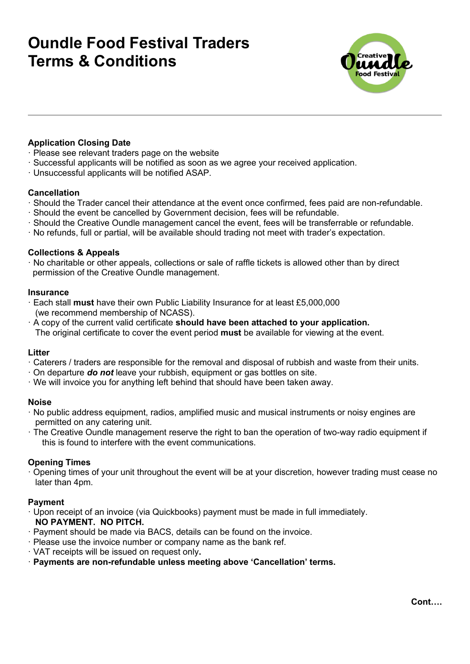# **Oundle Food Festival Traders Terms & Conditions**



# **Application Closing Date**

- · Please see relevant traders page on the website
- · Successful applicants will be notified as soon as we agree your received application.
- · Unsuccessful applicants will be notified ASAP.

#### **Cancellation**

- · Should the Trader cancel their attendance at the event once confirmed, fees paid are non-refundable.
- · Should the event be cancelled by Government decision, fees will be refundable.
- · Should the Creative Oundle management cancel the event, fees will be transferrable or refundable.
- · No refunds, full or partial, will be available should trading not meet with trader's expectation.

#### **Collections & Appeals**

· No charitable or other appeals, collections or sale of raffle tickets is allowed other than by direct permission of the Creative Oundle management.

#### **Insurance**

- · Each stall **must** have their own Public Liability Insurance for at least £5,000,000 (we recommend membership of NCASS).
- · A copy of the current valid certificate **should have been attached to your application.** The original certificate to cover the event period **must** be available for viewing at the event.

#### **Litter**

- · Caterers / traders are responsible for the removal and disposal of rubbish and waste from their units.
- · On departure *do not* leave your rubbish, equipment or gas bottles on site.
- · We will invoice you for anything left behind that should have been taken away.

#### **Noise**

- · No public address equipment, radios, amplified music and musical instruments or noisy engines are permitted on any catering unit.
- · The Creative Oundle management reserve the right to ban the operation of two-way radio equipment if this is found to interfere with the event communications.

### **Opening Times**

· Opening times of your unit throughout the event will be at your discretion, however trading must cease no later than 4pm.

### **Payment**

- Upon receipt of an invoice (via Quickbooks) payment must be made in full immediately. **NO PAYMENT. NO PITCH.**
- · Payment should be made via BACS, details can be found on the invoice.
- · Please use the invoice number or company name as the bank ref.
- · VAT receipts will be issued on request only**.**
- · **Payments are non-refundable unless meeting above 'Cancellation' terms.**